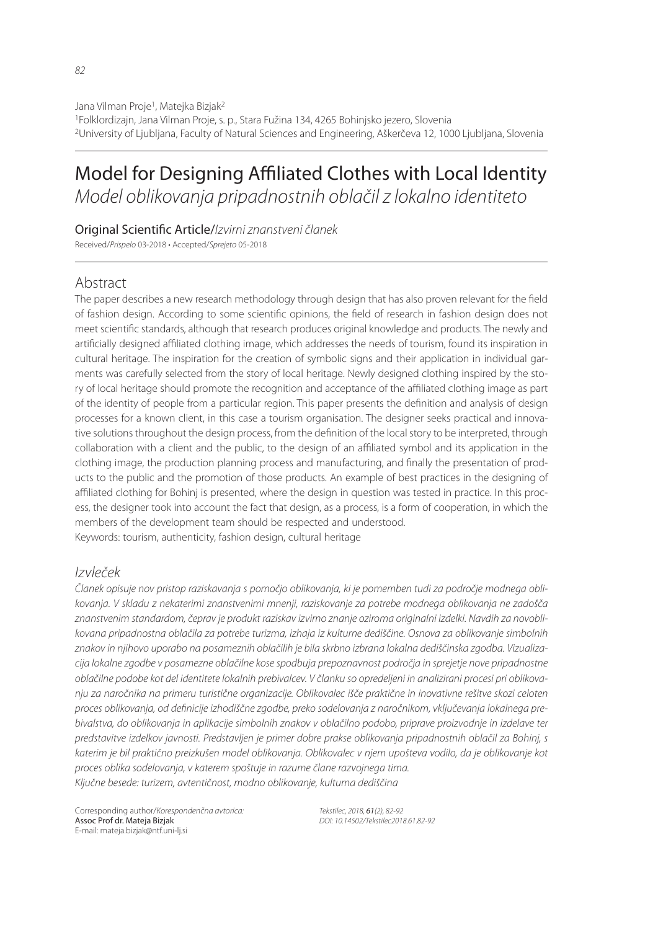Jana Vilman Proje<sup>1</sup>, Matejka Bizjak<sup>2</sup> 1Folklordizajn, Jana Vilman Proje, s. p., Stara Fužina 134, 4265 Bohinjsko jezero, Slovenia 2University of Ljubljana, Faculty of Natural Sciences and Engineering, Aškerčeva 12, 1000 Ljubljana, Slovenia

# Model for Designing Affiliated Clothes with Local Identity Model oblikovanja pripadnostnih oblačil z lokalno identiteto

## Original Scientific Article/Izvirni znanstveni članek

Received/Prispelo 03-2018 • Accepted/Sprejeto 05-2018

# Abstract

The paper describes a new research methodology through design that has also proven relevant for the field of fashion design. According to some scientific opinions, the field of research in fashion design does not meet scientific standards, although that research produces original knowledge and products. The newly and artificially designed affiliated clothing image, which addresses the needs of tourism, found its inspiration in cultural heritage. The inspiration for the creation of symbolic signs and their application in individual garments was carefully selected from the story of local heritage. Newly designed clothing inspired by the story of local heritage should promote the recognition and acceptance of the affiliated clothing image as part of the identity of people from a particular region. This paper presents the definition and analysis of design processes for a known client, in this case a tourism organisation. The designer seeks practical and innovative solutions throughout the design process, from the definition of the local story to be interpreted, through collaboration with a client and the public, to the design of an affiliated symbol and its application in the clothing image, the production planning process and manufacturing, and finally the presentation of products to the public and the promotion of those products. An example of best practices in the designing of affiliated clothing for Bohini is presented, where the design in question was tested in practice. In this process, the designer took into account the fact that design, as a process, is a form of cooperation, in which the members of the development team should be respected and understood. Keywords: tourism, authenticity, fashion design, cultural heritage

# Izvleček

Članek opisuje nov pristop raziskavanja s pomočjo oblikovanja, ki je pomemben tudi za področje modnega oblikovanja. V skladu z nekaterimi znanstvenimi mnenji, raziskovanje za potrebe modnega oblikovanja ne zadošča znanstvenim standardom, čeprav je produkt raziskav izvirno znanje oziroma originalni izdelki. Navdih za novoblikovana pripadnostna oblačila za potrebe turizma, izhaja iz kulturne dediščine. Osnova za oblikovanje simbolnih znakov in njihovo uporabo na posameznih oblačilih je bila skrbno izbrana lokalna dediščinska zgodba. Vizualizacija lokalne zgodbe v posamezne oblačilne kose spodbuja prepoznavnost področja in sprejetje nove pripadnostne oblačilne podobe kot del identitete lokalnih prebivalcev. V članku so opredeljeni in analizirani procesi pri oblikovanju za naročnika na primeru turistične organizacije. Oblikovalec išče praktične in inovativne rešitve skozi celoten proces oblikovanja, od definicije izhodiščne zgodbe, preko sodelovanja z naročnikom, vključevanja lokalnega prebivalstva, do oblikovanja in aplikacije simbolnih znakov v oblačilno podobo, priprave proizvodnje in izdelave ter predstavitve izdelkov javnosti. Predstavljen je primer dobre prakse oblikovanja pripadnostnih oblačil za Bohinj, s katerim je bil praktično preizkušen model oblikovanja. Oblikovalec v njem upošteva vodilo, da je oblikovanje kot proces oblika sodelovanja, v katerem spoštuje in razume člane razvojnega tima. Ključne besede: turizem, avtentičnost, modno oblikovanje, kulturna dediščina

Corresponding author/Korespondenčna avtorica: Assoc Prof dr. Mateja Bizjak E-mail: mateja.bizjak@ntf.uni-lj.si

Tekstilec, 2018, 61(2), 82-92 DOI: 10.14502/Tekstilec2018.61.82-92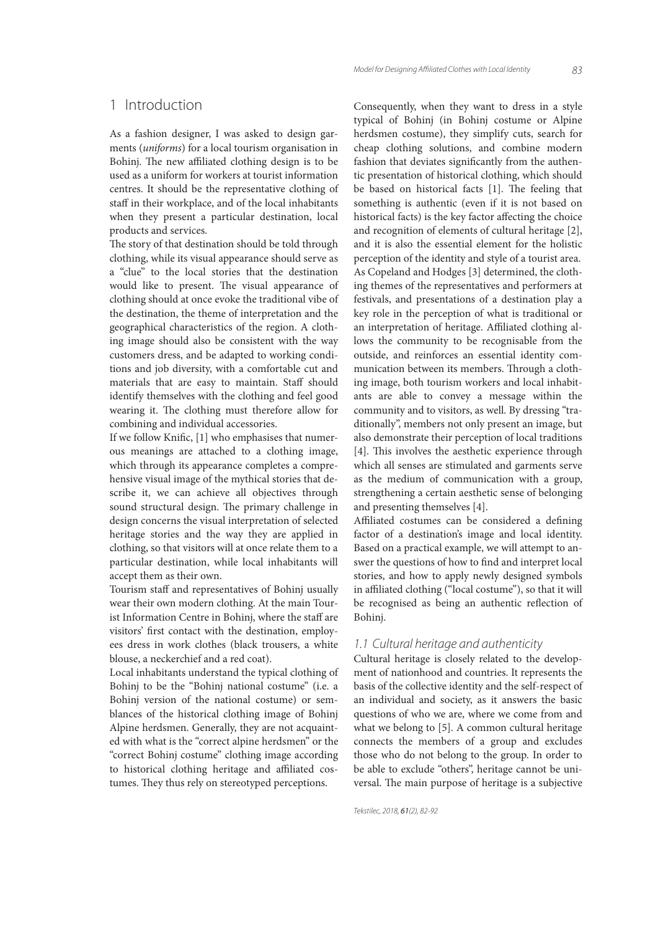## 1 Introduction

As a fashion designer, I was asked to design garments (uniforms) for a local tourism organisation in Bohinj. The new affiliated clothing design is to be used as a uniform for workers at tourist information centres. It should be the representative clothing of staff in their workplace, and of the local inhabitants when they present a particular destination, local products and services.

The story of that destination should be told through clothing, while its visual appearance should serve as a "clue" to the local stories that the destination would like to present. The visual appearance of clothing should at once evoke the traditional vibe of the destination, the theme of interpretation and the geographical characteristics of the region. A clothing image should also be consistent with the way customers dress, and be adapted to working conditions and job diversity, with a comfortable cut and materials that are easy to maintain. Staff should identify themselves with the clothing and feel good wearing it. The clothing must therefore allow for combining and individual accessories.

If we follow Knific,  $[1]$  who emphasises that numerous meanings are attached to a clothing image, which through its appearance completes a comprehensive visual image of the mythical stories that describe it, we can achieve all objectives through sound structural design. The primary challenge in design concerns the visual interpretation of selected heritage stories and the way they are applied in clothing, so that visitors will at once relate them to a particular destination, while local inhabitants will accept them as their own.

Tourism staff and representatives of Bohinj usually wear their own modern clothing. At the main Tourist Information Centre in Bohinj, where the staff are visitors' first contact with the destination, employees dress in work clothes (black trousers, a white blouse, a neckerchief and a red coat).

Local inhabitants understand the typical clothing of Bohinj to be the "Bohinj national costume" (i.e. a Bohinj version of the national costume) or semblances of the historical clothing image of Bohinj Alpine herdsmen. Generally, they are not acquainted with what is the "correct alpine herdsmen" or the "correct Bohinj costume" clothing image according to historical clothing heritage and affiliated costumes. They thus rely on stereotyped perceptions.

Consequently, when they want to dress in a style typical of Bohinj (in Bohinj costume or Alpine herdsmen costume), they simplify cuts, search for cheap clothing solutions, and combine modern fashion that deviates significantly from the authentic presentation of historical clothing, which should be based on historical facts [1]. The feeling that something is authentic (even if it is not based on historical facts) is the key factor affecting the choice and recognition of elements of cultural heritage [2], and it is also the essential element for the holistic perception of the identity and style of a tourist area. As Copeland and Hodges [3] determined, the clothing themes of the representatives and performers at festivals, and presentations of a destination play a key role in the perception of what is traditional or an interpretation of heritage. Affiliated clothing allows the community to be recognisable from the outside, and reinforces an essential identity communication between its members. Through a clothing image, both tourism workers and local inhabitants are able to convey a message within the community and to visitors, as well. By dressing "traditionally", members not only present an image, but also demonstrate their perception of local traditions [4]. This involves the aesthetic experience through which all senses are stimulated and garments serve as the medium of communication with a group, strengthening a certain aesthetic sense of belonging and presenting themselves [4].

Affiliated costumes can be considered a defining factor of a destination's image and local identity. Based on a practical example, we will attempt to answer the questions of how to find and interpret local stories, and how to apply newly designed symbols in affiliated clothing ("local costume"), so that it will be recognised as being an authentic reflection of Bohinj.

#### 1.1 Cultural heritage and authenticity

Cultural heritage is closely related to the development of nationhood and countries. It represents the basis of the collective identity and the self-respect of an individual and society, as it answers the basic questions of who we are, where we come from and what we belong to [5]. A common cultural heritage connects the members of a group and excludes those who do not belong to the group. In order to be able to exclude "others", heritage cannot be universal. The main purpose of heritage is a subjective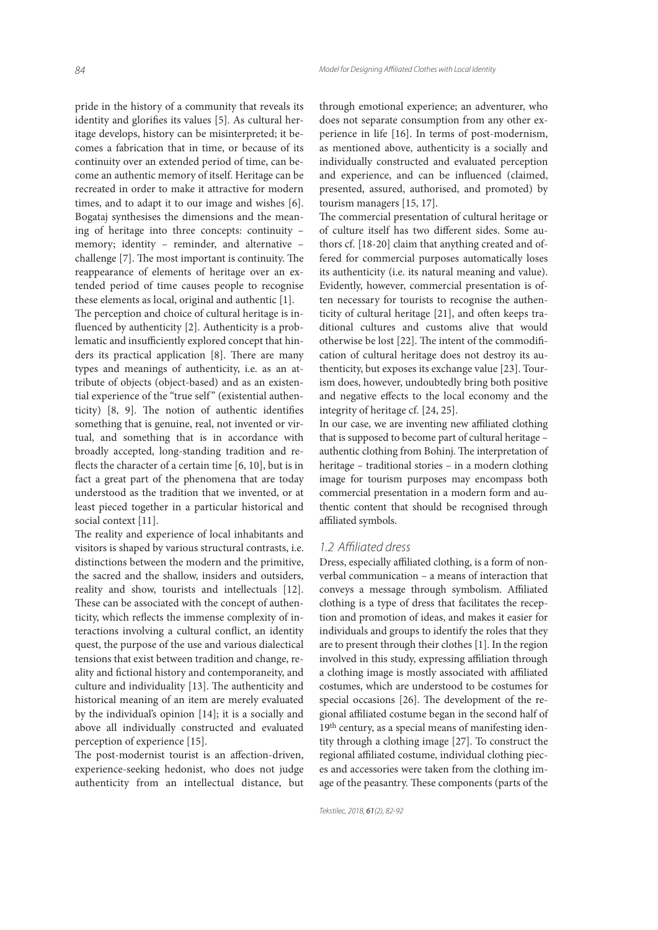pride in the history of a community that reveals its identity and glorifies its values [5]. As cultural heritage develops, history can be misinterpreted; it becomes a fabrication that in time, or because of its continuity over an extended period of time, can become an authentic memory of itself. Heritage can be recreated in order to make it attractive for modern times, and to adapt it to our image and wishes [6]. Bogataj synthesises the dimensions and the meaning of heritage into three concepts: continuity – memory; identity – reminder, and alternative – challenge [7]. The most important is continuity. The reappearance of elements of heritage over an extended period of time causes people to recognise these elements as local, original and authentic [1].

The perception and choice of cultural heritage is influenced by authenticity [2]. Authenticity is a problematic and insufficiently explored concept that hinders its practical application  $[8]$ . There are many types and meanings of authenticity, i.e. as an attribute of objects (object-based) and as an existential experience of the "true self" (existential authenticity)  $[8, 9]$ . The notion of authentic identifies something that is genuine, real, not invented or virtual, and something that is in accordance with broadly accepted, long-standing tradition and reflects the character of a certain time  $[6, 10]$ , but is in fact a great part of the phenomena that are today understood as the tradition that we invented, or at least pieced together in a particular historical and social context [11].

The reality and experience of local inhabitants and visitors is shaped by various structural contrasts, i.e. distinctions between the modern and the primitive, the sacred and the shallow, insiders and outsiders, reality and show, tourists and intellectuals [12]. These can be associated with the concept of authenticity, which reflects the immense complexity of interactions involving a cultural conflict, an identity quest, the purpose of the use and various dialectical tensions that exist between tradition and change, reality and fictional history and contemporaneity, and culture and individuality [13]. The authenticity and historical meaning of an item are merely evaluated by the individual's opinion [14]; it is a socially and above all individually constructed and evaluated perception of experience [15].

The post-modernist tourist is an affection-driven, experience-seeking hedonist, who does not judge authenticity from an intellectual distance, but

through emotional experience; an adventurer, who does not separate consumption from any other experience in life [16]. In terms of post-modernism, as mentioned above, authenticity is a socially and individually constructed and evaluated perception and experience, and can be influenced (claimed, presented, assured, authorised, and promoted) by tourism managers [15, 17].

The commercial presentation of cultural heritage or of culture itself has two different sides. Some authors cf. [18-20] claim that anything created and offered for commercial purposes automatically loses its authenticity (i.e. its natural meaning and value). Evidently, however, commercial presentation is often necessary for tourists to recognise the authenticity of cultural heritage [21], and often keeps traditional cultures and customs alive that would otherwise be lost [22]. The intent of the commodification of cultural heritage does not destroy its authenticity, but exposes its exchange value [23]. Tourism does, however, undoubtedly bring both positive and negative effects to the local economy and the integrity of heritage cf. [24, 25].

In our case, we are inventing new affiliated clothing that is supposed to become part of cultural heritage – authentic clothing from Bohinj. The interpretation of heritage – traditional stories – in a modern clothing image for tourism purposes may encompass both commercial presentation in a modern form and authentic content that should be recognised through affiliated symbols.

#### 1.2 Affiliated dress

Dress, especially affiliated clothing, is a form of nonverbal communication – a means of interaction that conveys a message through symbolism. Affiliated clothing is a type of dress that facilitates the reception and promotion of ideas, and makes it easier for individuals and groups to identify the roles that they are to present through their clothes [1]. In the region involved in this study, expressing affiliation through a clothing image is mostly associated with affiliated costumes, which are understood to be costumes for special occasions  $[26]$ . The development of the regional affiliated costume began in the second half of 19<sup>th</sup> century, as a special means of manifesting identity through a clothing image [27]. To construct the regional affiliated costume, individual clothing pieces and accessories were taken from the clothing image of the peasantry. These components (parts of the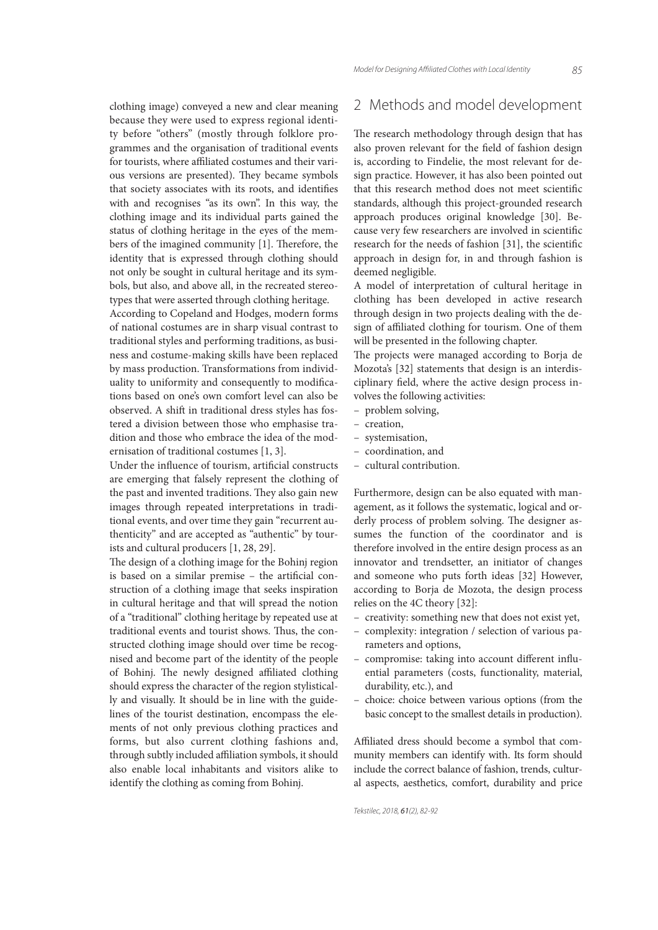clothing image) conveyed a new and clear meaning because they were used to express regional identity before "others" (mostly through folklore programmes and the organisation of traditional events for tourists, where affiliated costumes and their various versions are presented). They became symbols that society associates with its roots, and identifies with and recognises "as its own". In this way, the clothing image and its individual parts gained the status of clothing heritage in the eyes of the members of the imagined community  $[1]$ . Therefore, the identity that is expressed through clothing should not only be sought in cultural heritage and its symbols, but also, and above all, in the recreated stereotypes that were asserted through clothing heritage.

According to Copeland and Hodges, modern forms of national costumes are in sharp visual contrast to traditional styles and performing traditions, as business and costume-making skills have been replaced by mass production. Transformations from individuality to uniformity and consequently to modifications based on one's own comfort level can also be observed. A shift in traditional dress styles has fostered a division between those who emphasise tradition and those who embrace the idea of the modernisation of traditional costumes [1, 3].

Under the influence of tourism, artificial constructs are emerging that falsely represent the clothing of the past and invented traditions. They also gain new images through repeated interpretations in traditional events, and over time they gain "recurrent authenticity" and are accepted as "authentic" by tourists and cultural producers [1, 28, 29].

The design of a clothing image for the Bohinj region is based on a similar premise - the artificial construction of a clothing image that seeks inspiration in cultural heritage and that will spread the notion of a "traditional" clothing heritage by repeated use at traditional events and tourist shows. Thus, the constructed clothing image should over time be recognised and become part of the identity of the people of Bohinj. The newly designed affiliated clothing should express the character of the region stylistically and visually. It should be in line with the guidelines of the tourist destination, encompass the elements of not only previous clothing practices and forms, but also current clothing fashions and, through subtly included affiliation symbols, it should also enable local inhabitants and visitors alike to identify the clothing as coming from Bohinj.

# 2 Methods and model development

The research methodology through design that has also proven relevant for the field of fashion design is, according to Findelie, the most relevant for design practice. However, it has also been pointed out that this research method does not meet scientific standards, although this project-grounded research approach produces original knowledge [30]. Because very few researchers are involved in scientific research for the needs of fashion [31], the scientific approach in design for, in and through fashion is deemed negligible.

A model of interpretation of cultural heritage in clothing has been developed in active research through design in two projects dealing with the design of affiliated clothing for tourism. One of them will be presented in the following chapter.

The projects were managed according to Borja de Mozota's [32] statements that design is an interdisciplinary field, where the active design process involves the following activities:

- problem solving,
- creation,
- systemisation,
- coordination, and
- cultural contribution.

Furthermore, design can be also equated with management, as it follows the systematic, logical and orderly process of problem solving. The designer assumes the function of the coordinator and is therefore involved in the entire design process as an innovator and trendsetter, an initiator of changes and someone who puts forth ideas [32] However, according to Borja de Mozota, the design process relies on the 4C theory [32]:

- creativity: something new that does not exist yet,
- complexity: integration / selection of various parameters and options,
- compromise: taking into account different influential parameters (costs, functionality, material, durability, etc.), and
- choice: choice between various options (from the basic concept to the smallest details in production).

Affiliated dress should become a symbol that community members can identify with. Its form should include the correct balance of fashion, trends, cultural aspects, aesthetics, comfort, durability and price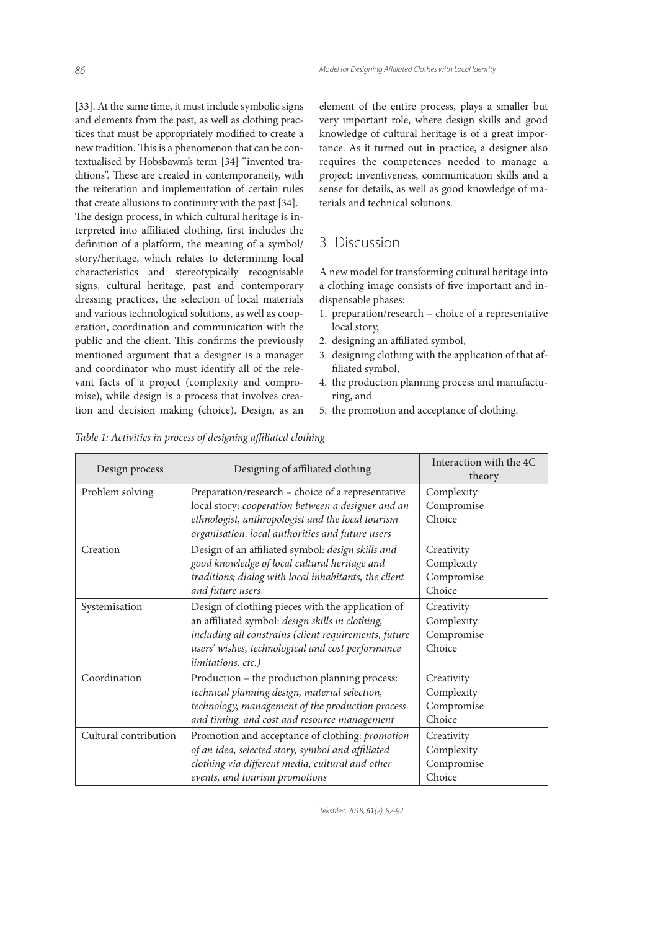[33]. At the same time, it must include symbolic signs and elements from the past, as well as clothing practices that must be appropriately modified to create a new tradition. This is a phenomenon that can be contextualised by Hobsbawm's term [34] "invented traditions". These are created in contemporaneity, with the reiteration and implementation of certain rules that create allusions to continuity with the past [34].

The design process, in which cultural heritage is interpreted into affiliated clothing, first includes the definition of a platform, the meaning of a symbol/ story/heritage, which relates to determining local characteristics and stereotypically recognisable signs, cultural heritage, past and contemporary dressing practices, the selection of local materials and various technological solutions, as well as cooperation, coordination and communication with the public and the client. This confirms the previously mentioned argument that a designer is a manager and coordinator who must identify all of the relevant facts of a project (complexity and compromise), while design is a process that involves creation and decision making (choice). Design, as an

element of the entire process, plays a smaller but very important role, where design skills and good knowledge of cultural heritage is of a great importance. As it turned out in practice, a designer also requires the competences needed to manage a project: inventiveness, communication skills and a sense for details, as well as good knowledge of materials and technical solutions.

# 3 Discussion

A new model for transforming cultural heritage into a clothing image consists of five important and indispensable phases:

- 1. preparation/research choice of a representative local story,
- 2. designing an affiliated symbol,
- 3. designing clothing with the application of that affiliated symbol,
- 4. the production planning process and manufacturing, and
- 5. the promotion and acceptance of clothing.

| Design process        | Designing of affiliated clothing                                                                                                                                                                                                          | Interaction with the 4C<br>theory                |
|-----------------------|-------------------------------------------------------------------------------------------------------------------------------------------------------------------------------------------------------------------------------------------|--------------------------------------------------|
| Problem solving       | Preparation/research – choice of a representative<br>local story: cooperation between a designer and an<br>ethnologist, anthropologist and the local tourism<br>organisation, local authorities and future users                          | Complexity<br>Compromise<br>Choice               |
| Creation              | Design of an affiliated symbol: design skills and<br>good knowledge of local cultural heritage and<br>traditions; dialog with local inhabitants, the client<br>and future users                                                           | Creativity<br>Complexity<br>Compromise<br>Choice |
| Systemisation         | Design of clothing pieces with the application of<br>an affiliated symbol: design skills in clothing,<br>including all constrains (client requirements, future<br>users' wishes, technological and cost performance<br>limitations, etc.) | Creativity<br>Complexity<br>Compromise<br>Choice |
| Coordination          | Production – the production planning process:<br>technical planning design, material selection,<br>technology, management of the production process<br>and timing, and cost and resource management                                       | Creativity<br>Complexity<br>Compromise<br>Choice |
| Cultural contribution | Promotion and acceptance of clothing: promotion<br>of an idea, selected story, symbol and affiliated<br>clothing via different media, cultural and other<br>events, and tourism promotions                                                | Creativity<br>Complexity<br>Compromise<br>Choice |

Table 1: Activities in process of designing affiliated clothing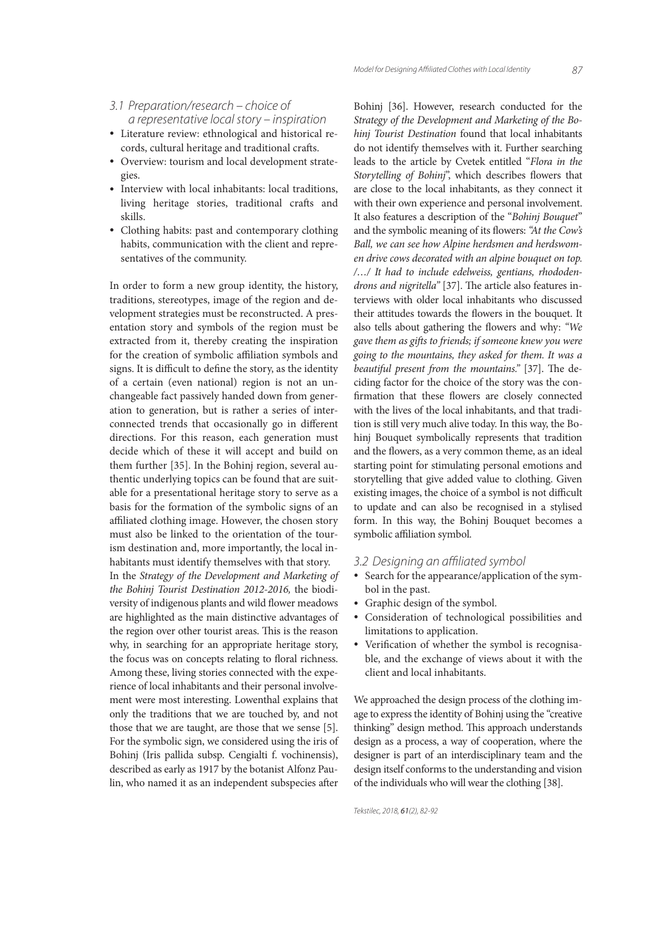- 3.1 Preparation/research choice of a representative local story – inspiration
- Literature review: ethnological and historical records, cultural heritage and traditional crafts.
- Overview: tourism and local development strategies.
- Interview with local inhabitants: local traditions, living heritage stories, traditional crafts and skills.
- Clothing habits: past and contemporary clothing habits, communication with the client and representatives of the community.

In order to form a new group identity, the history, traditions, stereotypes, image of the region and development strategies must be reconstructed. A presentation story and symbols of the region must be extracted from it, thereby creating the inspiration for the creation of symbolic affiliation symbols and signs. It is difficult to define the story, as the identity of a certain (even national) region is not an unchangeable fact passively handed down from generation to generation, but is rather a series of interconnected trends that occasionally go in different directions. For this reason, each generation must decide which of these it will accept and build on them further [35]. In the Bohinj region, several authentic underlying topics can be found that are suitable for a presentational heritage story to serve as a basis for the formation of the symbolic signs of an affiliated clothing image. However, the chosen story must also be linked to the orientation of the tourism destination and, more importantly, the local inhabitants must identify themselves with that story.

In the Strategy of the Development and Marketing of the Bohinj Tourist Destination 2012-2016, the biodiversity of indigenous plants and wild flower meadows are highlighted as the main distinctive advantages of the region over other tourist areas. This is the reason why, in searching for an appropriate heritage story, the focus was on concepts relating to floral richness. Among these, living stories connected with the experience of local inhabitants and their personal involvement were most interesting. Lowenthal explains that only the traditions that we are touched by, and not those that we are taught, are those that we sense [5]. For the symbolic sign, we considered using the iris of Bohinj (Iris pallida subsp. Cengialti f. vochinensis), described as early as 1917 by the botanist Alfonz Paulin, who named it as an independent subspecies after Bohinj [36]. However, research conducted for the Strategy of the Development and Marketing of the Bohinj Tourist Destination found that local inhabitants do not identify themselves with it. Further searching leads to the article by Cvetek entitled "Flora in the Storytelling of Bohinj", which describes flowers that are close to the local inhabitants, as they connect it with their own experience and personal involvement. It also features a description of the "Bohinj Bouquet" and the symbolic meaning of its flowers: "At the Cow's Ball, we can see how Alpine herdsmen and herdswomen drive cows decorated with an alpine bouquet on top. /…/ It had to include edelweiss, gentians, rhododendrons and nigritella" [37]. The article also features interviews with older local inhabitants who discussed their attitudes towards the flowers in the bouquet. It also tells about gathering the flowers and why: "We gave them as gifts to friends; if someone knew you were going to the mountains, they asked for them. It was a beautiful present from the mountains." [37]. The deciding factor for the choice of the story was the confirmation that these flowers are closely connected with the lives of the local inhabitants, and that tradition is still very much alive today. In this way, the Bohinj Bouquet symbolically represents that tradition and the flowers, as a very common theme, as an ideal starting point for stimulating personal emotions and storytelling that give added value to clothing. Given existing images, the choice of a symbol is not difficult to update and can also be recognised in a stylised form. In this way, the Bohinj Bouquet becomes a symbolic affiliation symbol.

### 3.2 Designing an affiliated symbol

- Search for the appearance/application of the symbol in the past.
- Graphic design of the symbol.
- Consideration of technological possibilities and limitations to application.
- Verification of whether the symbol is recognisable, and the exchange of views about it with the client and local inhabitants.

We approached the design process of the clothing image to express the identity of Bohinj using the "creative thinking" design method. This approach understands design as a process, a way of cooperation, where the designer is part of an interdisciplinary team and the design itself conforms to the understanding and vision of the individuals who will wear the clothing [38].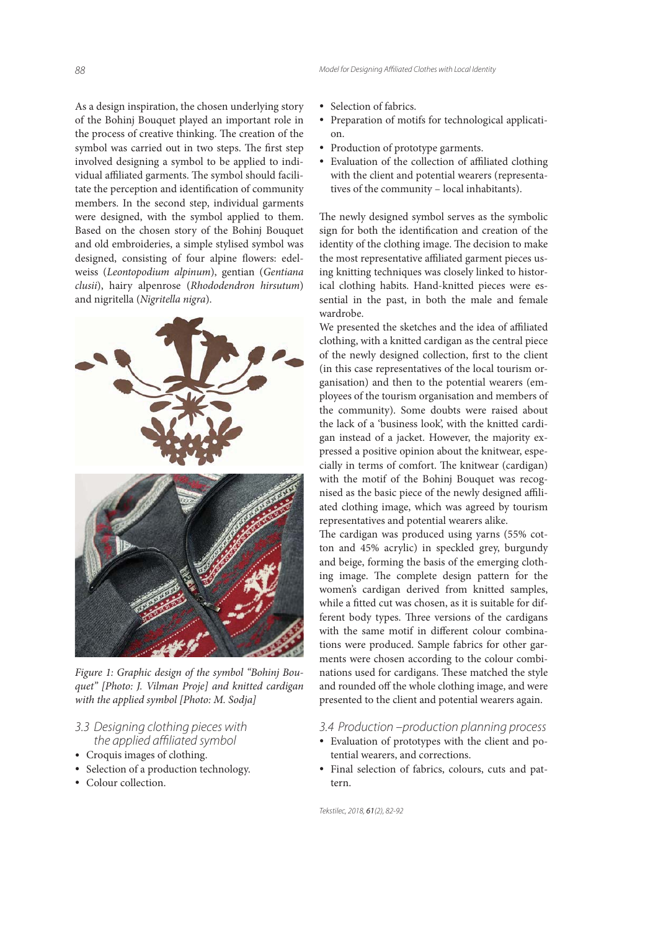As a design inspiration, the chosen underlying story of the Bohinj Bouquet played an important role in the process of creative thinking. The creation of the symbol was carried out in two steps. The first step involved designing a symbol to be applied to individual affiliated garments. The symbol should facilitate the perception and identification of community members. In the second step, individual garments were designed, with the symbol applied to them. Based on the chosen story of the Bohinj Bouquet and old embroideries, a simple stylised symbol was designed, consisting of four alpine flowers: edelweiss (Leontopodium alpinum), gentian (Gentiana clusii), hairy alpenrose (Rhododendron hirsutum) and nigritella (Nigritella nigra).



Figure 1: Graphic design of the symbol "Bohinj Bouquet" [Photo: J. Vilman Proje] and knitted cardigan with the applied symbol [Photo: M. Sodja]

### 3.3 Designing clothing pieces with the applied affiliated symbol

- Croquis images of clothing.
- Selection of a production technology.
- Colour collection.
- Selection of fabrics.
- Preparation of motifs for technological application.
- Production of prototype garments.
- Evaluation of the collection of affiliated clothing with the client and potential wearers (representatives of the community – local inhabitants).

The newly designed symbol serves as the symbolic sign for both the identification and creation of the identity of the clothing image. The decision to make the most representative affiliated garment pieces using knitting techniques was closely linked to historical clothing habits. Hand-knitted pieces were essential in the past, in both the male and female wardrobe.

We presented the sketches and the idea of affiliated clothing, with a knitted cardigan as the central piece of the newly designed collection, first to the client (in this case representatives of the local tourism organisation) and then to the potential wearers (employees of the tourism organisation and members of the community). Some doubts were raised about the lack of a 'business look', with the knitted cardigan instead of a jacket. However, the majority expressed a positive opinion about the knitwear, especially in terms of comfort. The knitwear (cardigan) with the motif of the Bohinj Bouquet was recognised as the basic piece of the newly designed affiliated clothing image, which was agreed by tourism representatives and potential wearers alike.

The cardigan was produced using yarns (55% cotton and 45% acrylic) in speckled grey, burgundy and beige, forming the basis of the emerging clothing image. The complete design pattern for the women's cardigan derived from knitted samples, while a fitted cut was chosen, as it is suitable for different body types. Three versions of the cardigans with the same motif in different colour combinations were produced. Sample fabrics for other garments were chosen according to the colour combinations used for cardigans. These matched the style and rounded off the whole clothing image, and were presented to the client and potential wearers again.

#### 3.4 Production –production planning process

- Evaluation of prototypes with the client and potential wearers, and corrections.
- Final selection of fabrics, colours, cuts and pattern.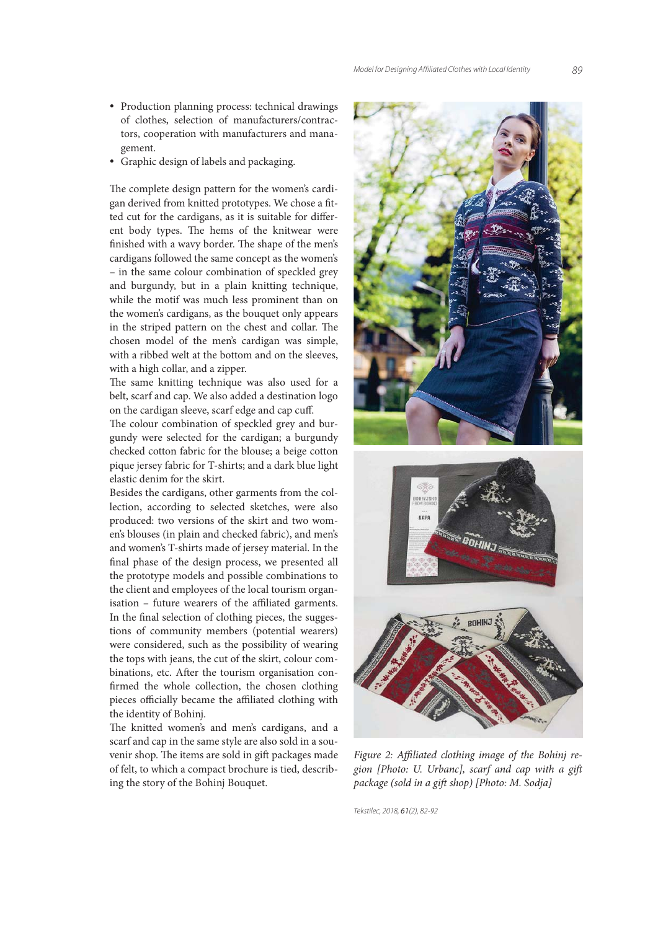- Production planning process: technical drawings of clothes, selection of manufacturers/contractors, cooperation with manufacturers and management.
- Graphic design of labels and packaging.

The complete design pattern for the women's cardigan derived from knitted prototypes. We chose a fitted cut for the cardigans, as it is suitable for different body types. The hems of the knitwear were finished with a wavy border. The shape of the men's cardigans followed the same concept as the women's – in the same colour combination of speckled grey and burgundy, but in a plain knitting technique, while the motif was much less prominent than on the women's cardigans, as the bouquet only appears in the striped pattern on the chest and collar. The chosen model of the men's cardigan was simple, with a ribbed welt at the bottom and on the sleeves, with a high collar, and a zipper.

The same knitting technique was also used for a belt, scarf and cap. We also added a destination logo on the cardigan sleeve, scarf edge and cap cuff.

The colour combination of speckled grey and burgundy were selected for the cardigan; a burgundy checked cotton fabric for the blouse; a beige cotton pique jersey fabric for T-shirts; and a dark blue light elastic denim for the skirt.

Besides the cardigans, other garments from the collection, according to selected sketches, were also produced: two versions of the skirt and two women's blouses (in plain and checked fabric), and men's and women's T-shirts made of jersey material. In the final phase of the design process, we presented all the prototype models and possible combinations to the client and employees of the local tourism organisation – future wearers of the affiliated garments. In the final selection of clothing pieces, the suggestions of community members (potential wearers) were considered, such as the possibility of wearing the tops with jeans, the cut of the skirt, colour combinations, etc. After the tourism organisation confirmed the whole collection, the chosen clothing pieces officially became the affiliated clothing with the identity of Bohinj.

The knitted women's and men's cardigans, and a scarf and cap in the same style are also sold in a souvenir shop. The items are sold in gift packages made of felt, to which a compact brochure is tied, describing the story of the Bohinj Bouquet.



Figure 2: Affiliated clothing image of the Bohinj region [Photo: U. Urbanc], scarf and cap with a gift package (sold in a gift shop) [Photo: M. Sodja]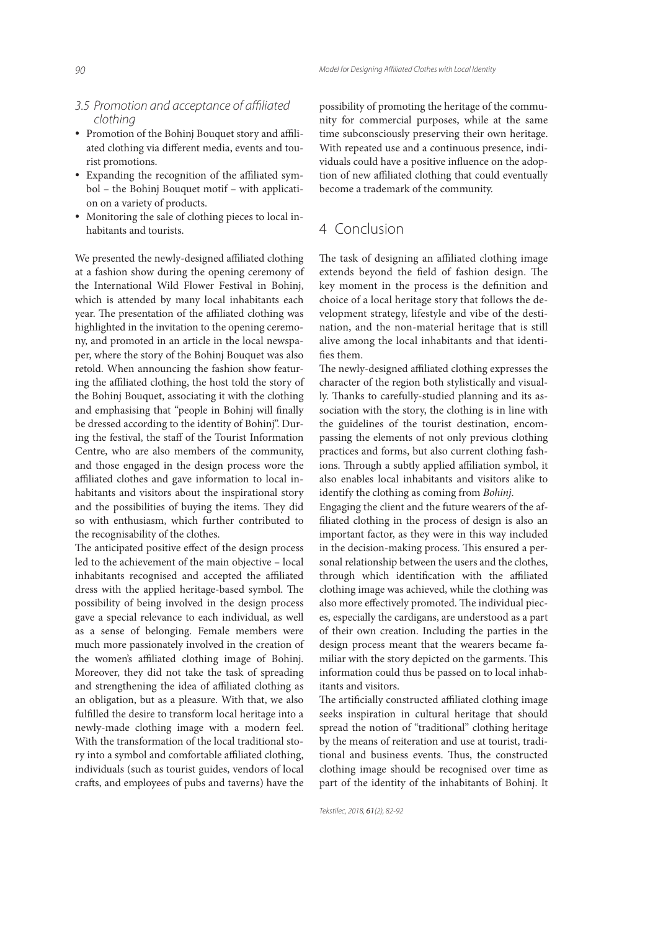# 3.5 Promotion and acceptance of affiliated clothing

- Promotion of the Bohinj Bouquet story and affiliated clothing via different media, events and tourist promotions.
- Expanding the recognition of the affiliated symbol – the Bohinj Bouquet motif – with application on a variety of products.
- Monitoring the sale of clothing pieces to local inhabitants and tourists.

We presented the newly-designed affiliated clothing at a fashion show during the opening ceremony of the International Wild Flower Festival in Bohinj, which is attended by many local inhabitants each year. The presentation of the affiliated clothing was highlighted in the invitation to the opening ceremony, and promoted in an article in the local newspaper, where the story of the Bohinj Bouquet was also retold. When announcing the fashion show featuring the affiliated clothing, the host told the story of the Bohinj Bouquet, associating it with the clothing and emphasising that "people in Bohinj will finally be dressed according to the identity of Bohinj". During the festival, the staff of the Tourist Information Centre, who are also members of the community, and those engaged in the design process wore the affiliated clothes and gave information to local inhabitants and visitors about the inspirational story and the possibilities of buying the items. They did so with enthusiasm, which further contributed to the recognisability of the clothes.

The anticipated positive effect of the design process led to the achievement of the main objective – local inhabitants recognised and accepted the affiliated dress with the applied heritage-based symbol. The possibility of being involved in the design process gave a special relevance to each individual, as well as a sense of belonging. Female members were much more passionately involved in the creation of the women's affiliated clothing image of Bohinj. Moreover, they did not take the task of spreading and strengthening the idea of affiliated clothing as an obligation, but as a pleasure. With that, we also fulfilled the desire to transform local heritage into a newly-made clothing image with a modern feel. With the transformation of the local traditional story into a symbol and comfortable affiliated clothing, individuals (such as tourist guides, vendors of local crafts, and employees of pubs and taverns) have the possibility of promoting the heritage of the community for commercial purposes, while at the same time subconsciously preserving their own heritage. With repeated use and a continuous presence, individuals could have a positive influence on the adoption of new affiliated clothing that could eventually become a trademark of the community.

# 4 Conclusion

The task of designing an affiliated clothing image extends beyond the field of fashion design. The key moment in the process is the definition and choice of a local heritage story that follows the development strategy, lifestyle and vibe of the destination, and the non-material heritage that is still alive among the local inhabitants and that identifies them.

The newly-designed affiliated clothing expresses the character of the region both stylistically and visually. Thanks to carefully-studied planning and its association with the story, the clothing is in line with the guidelines of the tourist destination, encompassing the elements of not only previous clothing practices and forms, but also current clothing fashions. Through a subtly applied affiliation symbol, it also enables local inhabitants and visitors alike to identify the clothing as coming from Bohinj.

Engaging the client and the future wearers of the affiliated clothing in the process of design is also an important factor, as they were in this way included in the decision-making process. This ensured a personal relationship between the users and the clothes, through which identification with the affiliated clothing image was achieved, while the clothing was also more effectively promoted. The individual pieces, especially the cardigans, are understood as a part of their own creation. Including the parties in the design process meant that the wearers became familiar with the story depicted on the garments. This information could thus be passed on to local inhabitants and visitors.

The artificially constructed affiliated clothing image seeks inspiration in cultural heritage that should spread the notion of "traditional" clothing heritage by the means of reiteration and use at tourist, traditional and business events. Thus, the constructed clothing image should be recognised over time as part of the identity of the inhabitants of Bohinj. It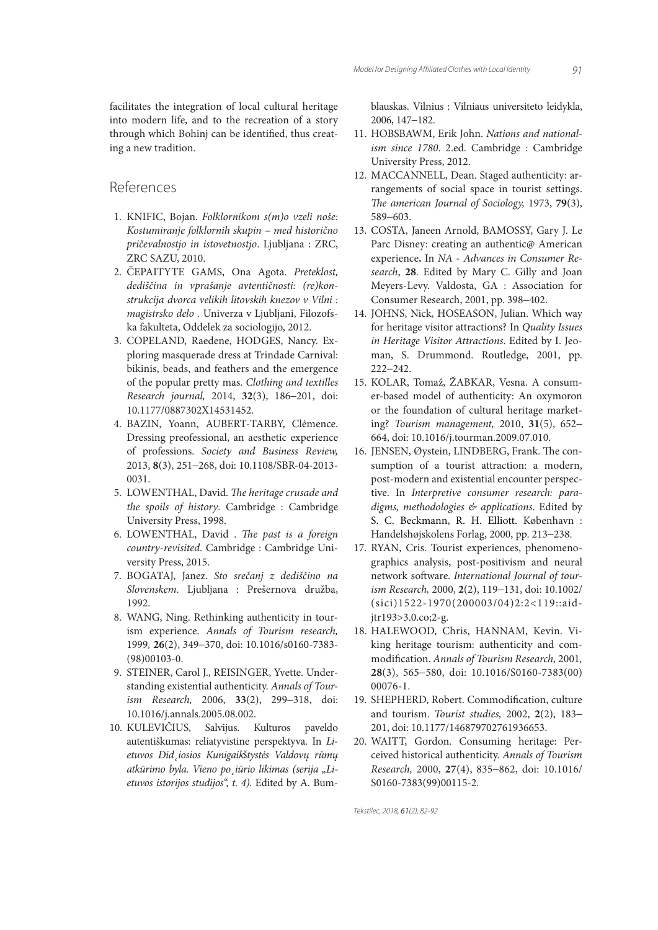facilitates the integration of local cultural heritage into modern life, and to the recreation of a story through which Bohinj can be identified, thus creating a new tradition.

# References

- 1. KNIFIC, Bojan. Folklornikom s(m)o vzeli noše: Kostumiranje folklornih skupin – med historično pričevalnostjo in istovetnostjo. Ljubljana : ZRC, ZRC SAZU, 2010.
- 2. ČEPAITYTE GAMS, Ona Agota. Preteklost, dediščina in vprašanje avtentičnosti: (re)konstrukcija dvorca velikih litovskih knezov v Vilni : magistrsko delo . Univerza v Ljubljani, Filozofska fakulteta, Oddelek za sociologijo, 2012.
- 3. COPELAND, Raedene, HODGES, Nancy. Exploring masquerade dress at Trindade Carnival: bikinis, beads, and feathers and the emergence of the popular pretty mas. Clothing and textilles Research journal, 2014, **32**(3), 186−201, doi: 10.1177/0887302X14531452.
- 4. BAZIN, Yoann, AUBERT-TARBY, Clémence. Dressing preofessional, an aesthetic experience of professions. Society and Business Review, 2013, **8**(3), 251−268, doi: 10.1108/SBR-04-2013- 0031.
- 5. LOWENTHAL, David. The heritage crusade and the spoils of history. Cambridge : Cambridge University Press, 1998.
- 6. LOWENTHAL, David . The past is a foreign country-revisited. Cambridge : Cambridge University Press, 2015.
- 7. BOGATAJ, Janez. Sto srečanj z dediščino na Slovenskem. Ljubljana : Prešernova družba, 1992.
- 8. WANG, Ning. Rethinking authenticity in tourism experience. Annals of Tourism research, 1999, **26**(2), 349−370, doi: 10.1016/s0160-7383- (98)00103-0.
- 9. STEINER, Carol J., REISINGER, Yvette. Understanding existential authenticity. Annals of Tourism Research, 2006, **33**(2), 299−318, doi: 10.1016/j.annals.2005.08.002.
- 10. KULEVIČIUS, Salvijus. Kulturos paveldo autentiškumas: reliatyvistine perspektyva. In Lietuvos Did˛iosios Kunigaikštystės Valdovų rūmų atkūrimo byla. Vieno po iūrio likimas (serija "Lietuvos istorijos studijos", t. 4). Edited by A. Bum-

blauskas. Vilnius : Vilniaus universiteto leidykla, 2006, 147−182.

- 11. HOBSBAWM, Erik John. Nations and nationalism since 1780. 2.ed. Cambridge : Cambridge University Press, 2012.
- 12. MACCANNELL, Dean. Staged authenticity: arrangements of social space in tourist settings. The american Journal of Sociology, 1973, 79(3), 589−603.
- 13. COSTA, Janeen Arnold, BAMOSSY, Gary J. Le Parc Disney: creating an authentic@ American experience**.** In NA - Advances in Consumer Research, **28**. Edited by Mary C. Gilly and Joan Meyers-Levy. Valdosta, GA : Association for Consumer Research, 2001, pp. 398−402.
- 14. JOHNS, Nick, HOSEASON, Julian. Which way for heritage visitor attractions? In Quality Issues in Heritage Visitor Attractions. Edited by I. Jeoman, S. Drummond. Routledge, 2001, pp. 222−242.
- 15. KOLAR, Tomaž, ŽABKAR, Vesna. A consumer-based model of authenticity: An oxymoron or the foundation of cultural heritage marketing? Tourism management, 2010, **31**(5), 652− 664, doi: 10.1016/j.tourman.2009.07.010.
- 16. JENSEN, Øystein, LINDBERG, Frank. The consumption of a tourist attraction: a modern, post-modern and existential encounter perspective. In Interpretive consumer research: paradigms, methodologies & applications. Edited by S. C. Beckmann, R. H. Elliott. København : Handelshøjskolens Forlag, 2000, pp. 213−238.
- 17. RYAN, Cris. Tourist experiences, phenomenographics analysis, post-positivism and neural network software. International Journal of tourism Research, 2000, **2**(2), 119−131, doi: 10.1002/ (sici)1522-1970(200003/04)2:2<119::aidjtr193>3.0.co;2-g.
- 18. HALEWOOD, Chris, HANNAM, Kevin. Viking heritage tourism: authenticity and commodification. Annals of Tourism Research, 2001, **28**(3), 565−580, doi: 10.1016/S0160-7383(00) 00076-1.
- 19. SHEPHERD, Robert. Commodification, culture and tourism. Tourist studies, 2002, **2**(2), 183− 201, doi: 10.1177/146879702761936653.
- 20. WAITT, Gordon. Consuming heritage: Perceived historical authenticity. Annals of Tourism Research, 2000, **27**(4), 835−862, doi: 10.1016/ S0160-7383(99)00115-2.